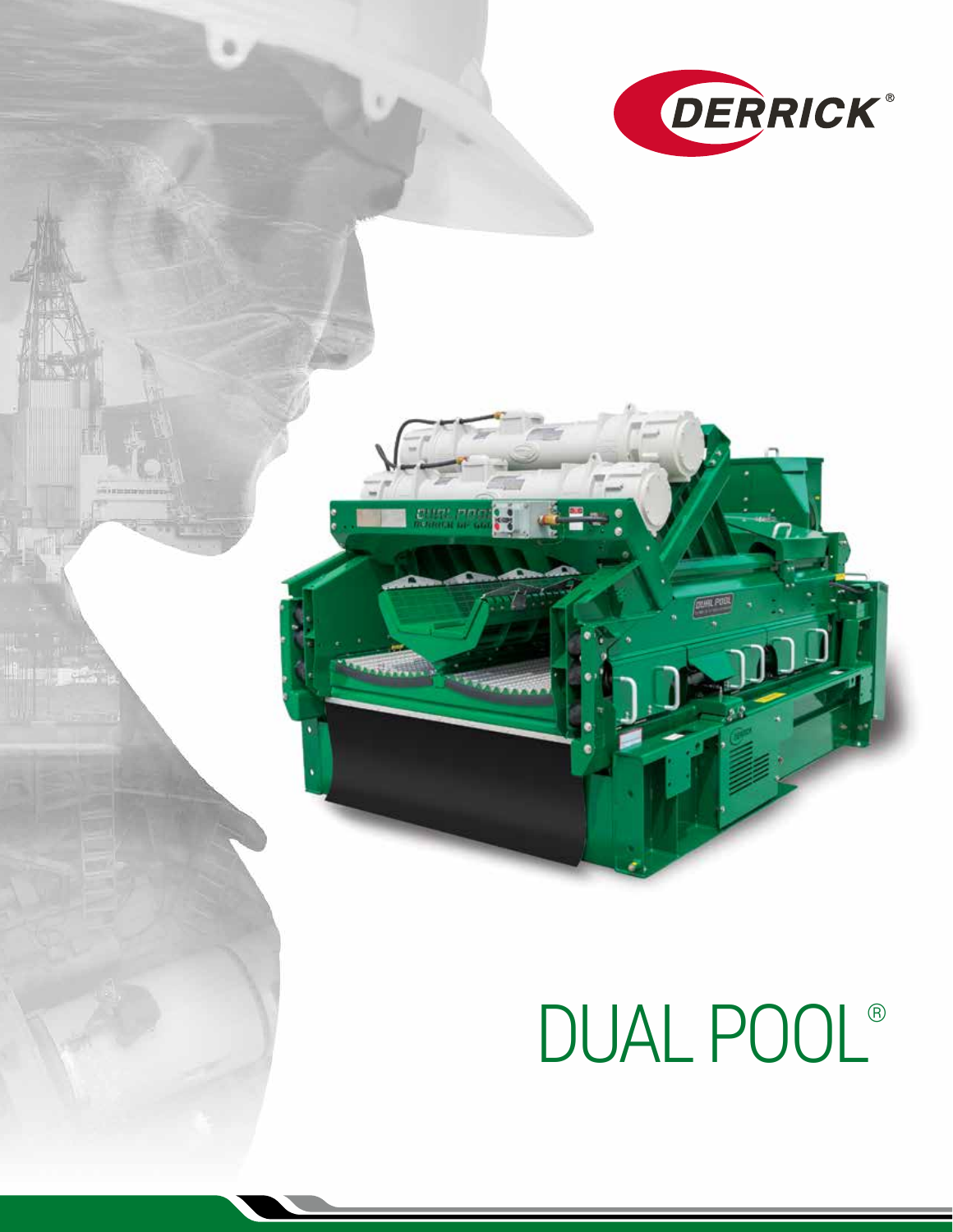

# DUAL POOL®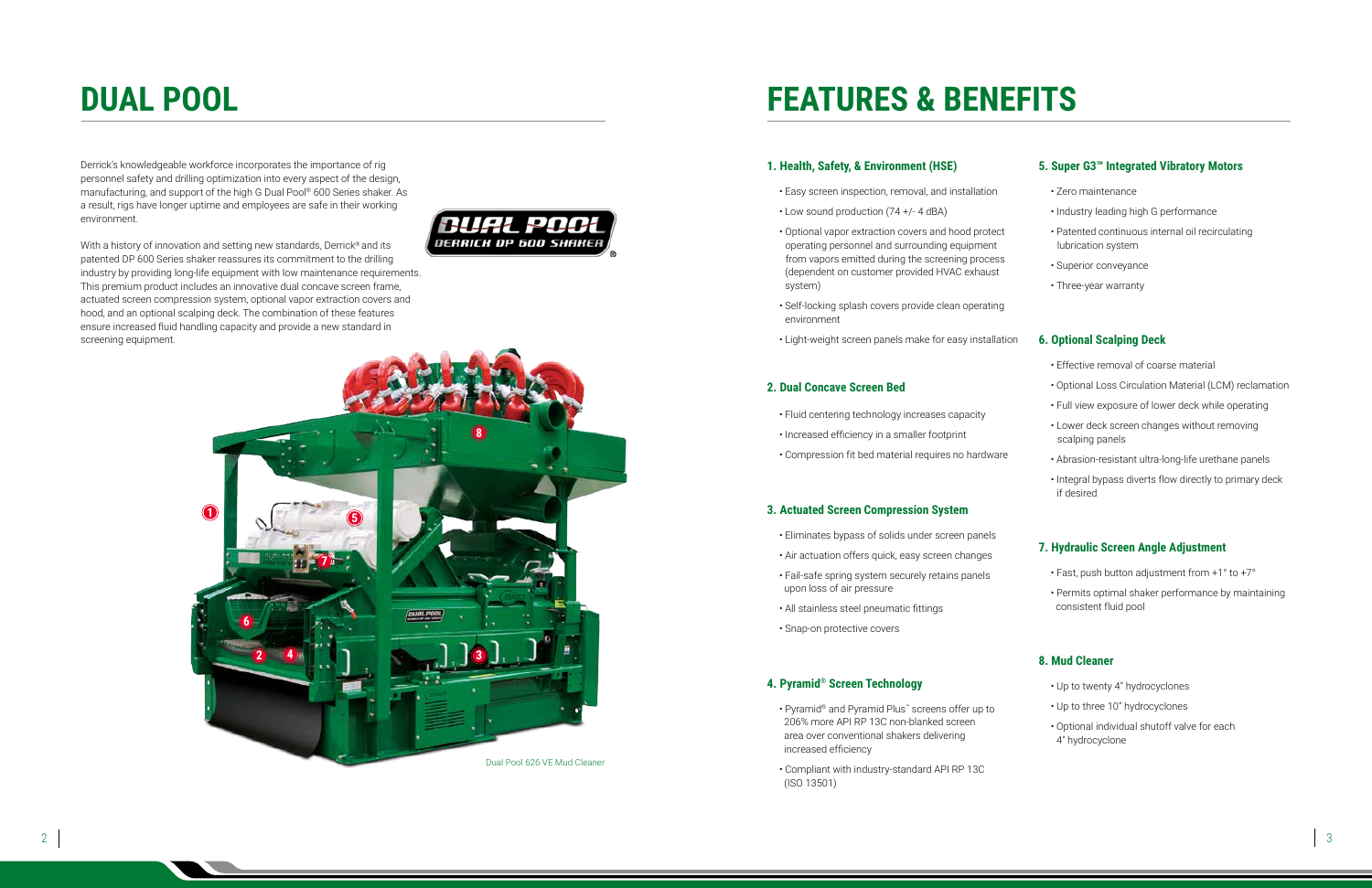Derrick's knowledgeable workforce incorporates the importance of rig personnel safety and drilling optimization into every aspect of the design, manufacturing, and support of the high G Dual Pool® 600 Series shaker. As a result, rigs have longer uptime and employees are safe in their working environment.

With a history of innovation and setting new standards, Derrick<sup>®</sup> and its patented DP 600 Series shaker reassures its commitment to the drilling industry by providing long-life equipment with low maintenance requirements. This premium product includes an innovative dual concave screen frame, actuated screen compression system, optional vapor extraction covers and hood, and an optional scalping deck. The combination of these features ensure increased fluid handling capacity and provide a new standard in screening equipment.



### **1. Health, Safety, & Environment (HSE)**

- Easy screen inspection, removal, and installation
- Low sound production (74 +/- 4 dBA)
- Optional vapor extraction covers and hood protect operating personnel and surrounding equipment from vapors emitted during the screening process (dependent on customer provided HVAC exhaust system)
- Self-locking splash covers provide clean operating environment
- Light-weight screen panels make for easy installation

### **2. Dual Concave Screen Bed**

- Fluid centering technology increases capacity
- Increased efficiency in a smaller footprint
- Compression fit bed material requires no hardware

#### **3. Actuated Screen Compression System**

- Eliminates bypass of solids under screen panels
- Air actuation offers quick, easy screen changes
- Fail-safe spring system securely retains panels upon loss of air pressure
- All stainless steel pneumatic fittings
- Snap-on protective covers

#### **4. Pyramid® Screen Technology**



- Pyramid® and Pyramid Plus™ screens offer up to 206% more API RP 13C non-blanked screen area over conventional shakers delivering increased efficiency
- Compliant with industry-standard API RP 13C (ISO 13501)

### **5. Super G3™ Integrated Vibratory Motors**

- Zero maintenance
- Industry leading high G performance
- Patented continuous internal oil recirculating lubrication system
- Superior conveyance
- Three-year warranty

#### **6. Optional Scalping Deck**

- Effective removal of coarse material
- Optional Loss Circulation Material (LCM) reclamation
- Full view exposure of lower deck while operating
- Lower deck screen changes without removing scalping panels
- Abrasion-resistant ultra-long-life urethane panels
- Integral bypass diverts flow directly to primary deck if desired

#### **7. Hydraulic Screen Angle Adjustment**

- Fast, push button adjustment from +1° to +7°
- Permits optimal shaker performance by maintaining consistent fluid pool

### **8. Mud Cleaner**

- Up to twenty 4" hydrocyclones
- Up to three 10" hydrocyclones
- Optional individual shutoff valve for each 4" hydrocyclone

### **DUAL POOL FEATURES & BENEFITS**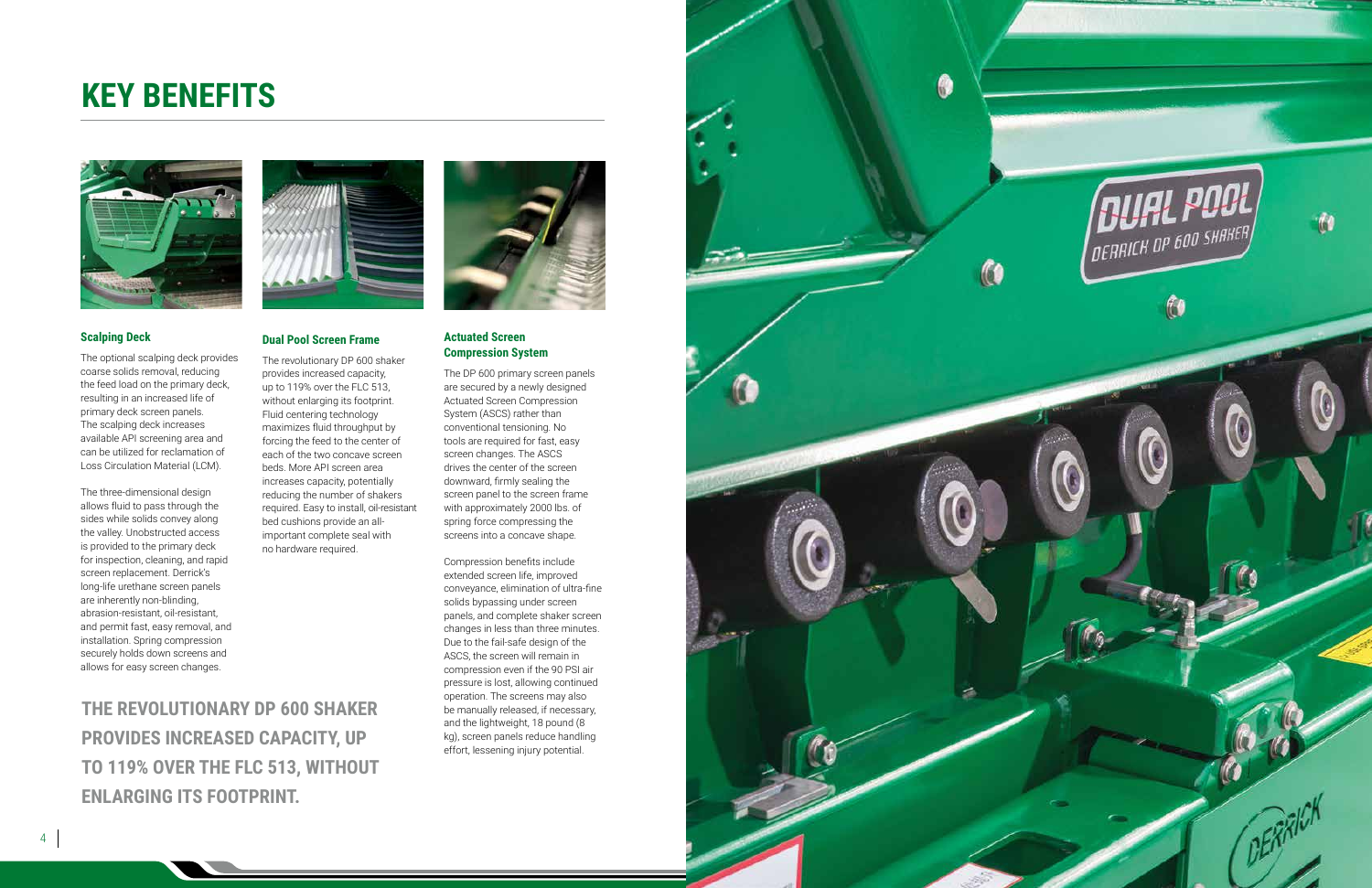### **KEY BENEFITS**



#### **Dual Pool Screen Frame**

The revolutionary DP 600 shaker provides increased capacity, up to 119% over the FLC 513, without enlarging its footprint. Fluid centering technology maximizes fluid throughput by forcing the feed to the center of each of the two concave screen beds. More API screen area increases capacity, potentially reducing the number of shakers required. Easy to install, oil-resistant bed cushions provide an allimportant complete seal with no hardware required.

#### **Scalping Deck**

The optional scalping deck provides coarse solids removal, reducing the feed load on the primary deck, resulting in an increased life of primary deck screen panels. The scalping deck increases available API screening area and can be utilized for reclamation of Loss Circulation Material (LCM).

The three-dimensional design allows fluid to pass through the sides while solids convey along the valley. Unobstructed access is provided to the primary deck for inspection, cleaning, and rapid screen replacement. Derrick's long-life urethane screen panels are inherently non-blinding, abrasion-resistant, oil-resistant, and permit fast, easy removal, and installation. Spring compression securely holds down screens and allows for easy screen changes.

#### **Actuated Screen Compression System**

The DP 600 primary screen panels are secured by a newly designed Actuated Screen Compression conventional tensioning. No tools are required for fast, easy drives the center of the screen downward, firmly sealing the screen panel to the screen frame with approximately 2000 lbs. of spring force compressing the screens into a concave shape.

System (ASCS) rather than screen changes. The ASCS Compression benefits include

extended screen life, improved conveyance, elimination of ultra-fine solids bypassing under screen panels, and complete shaker screen changes in less than three minutes. Due to the fail-safe design of the ASCS, the screen will remain in compression even if the 90 PSI air pressure is lost, allowing continued operation. The screens may also be manually released, if necessary, and the lightweight, 18 pound (8 kg), screen panels reduce handling effort, lessening injury potential.



**THE REVOLUTIONARY DP 600 SHAKER** 

**PROVIDES INCREASED CAPACITY, UP** 

**TO 119% OVER THE FLC 513, WITHOUT** 

**ENLARGING ITS FOOTPRINT.**





0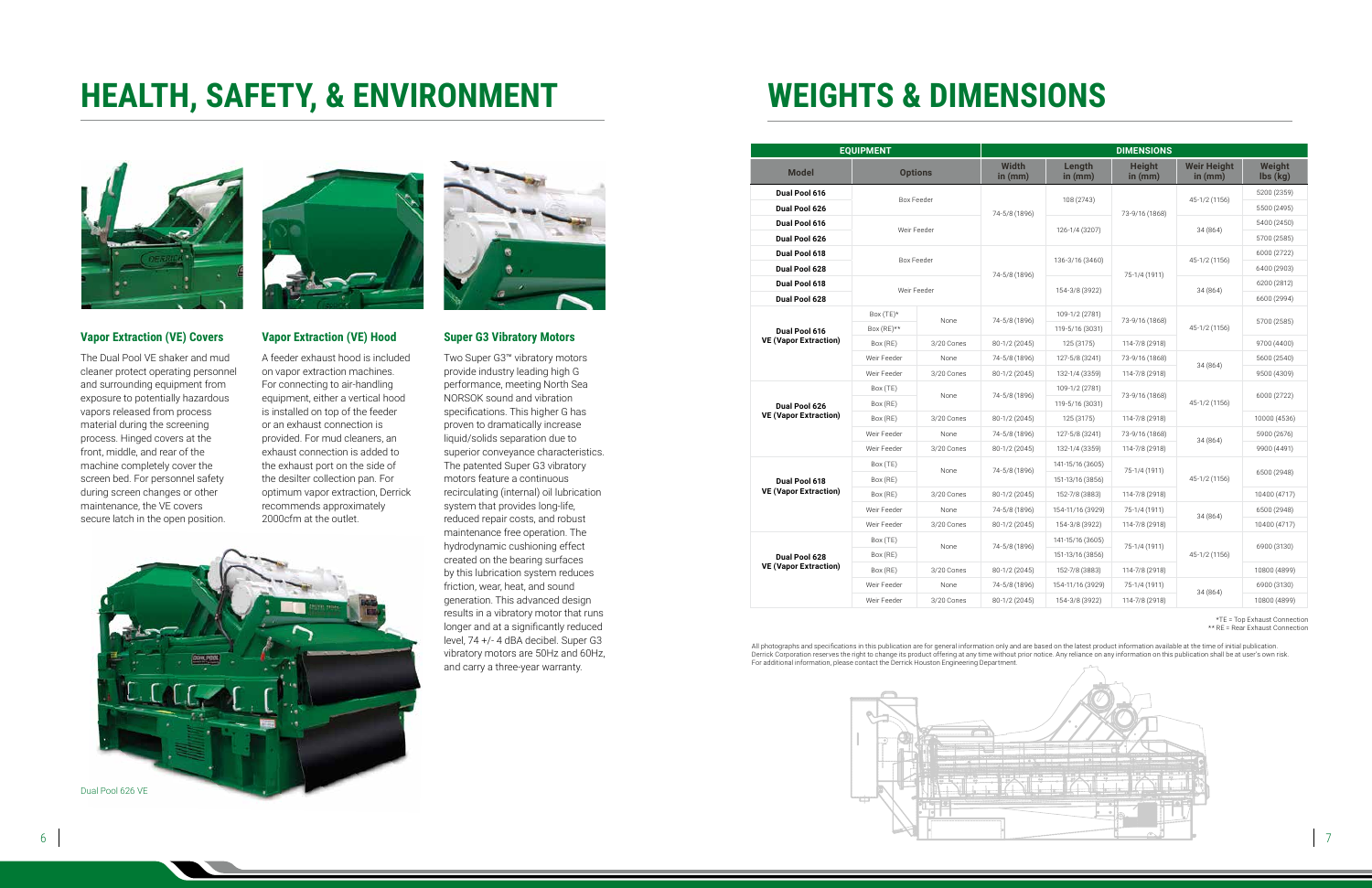### **HEALTH, SAFETY, & ENVIRONMENT**



#### **Vapor Extraction (VE) Covers**

The Dual Pool VE shaker and mud cleaner protect operating personnel and surrounding equipment from exposure to potentially hazardous vapors released from process material during the screening process. Hinged covers at the front, middle, and rear of the machine completely cover the screen bed. For personnel safety during screen changes or other maintenance, the VE covers secure latch in the open position.



#### **Vapor Extraction (VE) Hood**

A feeder exhaust hood is included on vapor extraction machines. For connecting to air-handling equipment, either a vertical hood is installed on top of the feeder or an exhaust connection is provided. For mud cleaners, an exhaust connection is added to the exhaust port on the side of the desilter collection pan. For optimum vapor extraction, Derrick recommends approximately 2000cfm at the outlet.



#### **Super G3 Vibratory Motors**

All photographs and specifications in this publication are for general information only and are based on the latest product information available at the time of initial publication.<br>Derrick Corporation reserves the right t For additional information, please contact the Derrick Houston Engineering Department.



Two Super G3™ vibratory motors provide industry leading high G performance, meeting North Sea NORSOK sound and vibration specifications. This higher G has proven to dramatically increase liquid/solids separation due to superior conveyance characteristics. The patented Super G3 vibratory motors feature a continuous recirculating (internal) oil lubrication system that provides long-life, reduced repair costs, and robust maintenance free operation. The hydrodynamic cushioning effect created on the bearing surfaces by this lubrication system reduces friction, wear, heat, and sound generation. This advanced design results in a vibratory motor that runs longer and at a significantly reduced level, 74 +/- 4 dBA decibel. Super G3 vibratory motors are 50Hz and 60Hz, and carry a three-year warranty.

Dual Pool 626 VE



## **WEIGHTS & DIMENSIONS**

\*TE = Top Exhaust Connection \*\* RE = Rear Exhaust Connection

| <b>EQUIPMENT</b>                              |                   |            | <b>DIMENSIONS</b>         |                     |                            |                                 |                                       |
|-----------------------------------------------|-------------------|------------|---------------------------|---------------------|----------------------------|---------------------------------|---------------------------------------|
| <b>Model</b>                                  | <b>Options</b>    |            | <b>Width</b><br>in $(mm)$ | Length<br>in $(mm)$ | <b>Height</b><br>in $(mm)$ | <b>Weir Height</b><br>in $(mm)$ | Weight<br>$\mathsf{lbs}(\mathsf{kg})$ |
| Dual Pool 616                                 | <b>Box Feeder</b> |            | 74-5/8 (1896)             | 108 (2743)          | 73-9/16 (1868)             | 45-1/2 (1156)                   | 5200 (2359)                           |
| Dual Pool 626                                 |                   |            |                           |                     |                            |                                 | 5500 (2495)                           |
| Dual Pool 616                                 | Weir Feeder       |            |                           | 126-1/4 (3207)      |                            | 34 (864)                        | 5400 (2450)                           |
| Dual Pool 626                                 |                   |            |                           |                     |                            |                                 | 5700 (2585)                           |
| Dual Pool 618                                 | <b>Box Feeder</b> |            | 74-5/8 (1896)             | 136-3/16 (3460)     | 75-1/4 (1911)              | 45-1/2 (1156)                   | 6000 (2722)                           |
| Dual Pool 628                                 |                   |            |                           |                     |                            |                                 | 6400 (2903)                           |
| Dual Pool 618                                 | Weir Feeder       |            |                           | 154-3/8 (3922)      |                            | 34 (864)                        | 6200 (2812)                           |
| Dual Pool 628                                 |                   |            |                           |                     |                            |                                 | 6600 (2994)                           |
| Dual Pool 616<br><b>VE (Vapor Extraction)</b> | Box $(TE)^*$      | None       | 74-5/8 (1896)             | 109-1/2 (2781)      | 73-9/16 (1868)             | 45-1/2 (1156)                   | 5700 (2585)                           |
|                                               | Box (RE)**        |            |                           | 119-5/16 (3031)     |                            |                                 |                                       |
|                                               | Box (RE)          | 3/20 Cones | 80-1/2 (2045)             | 125 (3175)          | 114-7/8 (2918)             |                                 | 9700 (4400)                           |
|                                               | Weir Feeder       | None       | 74-5/8 (1896)             | 127-5/8 (3241)      | 73-9/16 (1868)             | 34 (864)                        | 5600 (2540)                           |
|                                               | Weir Feeder       | 3/20 Cones | 80-1/2 (2045)             | 132-1/4 (3359)      | 114-7/8 (2918)             |                                 | 9500 (4309)                           |
| Dual Pool 626<br><b>VE (Vapor Extraction)</b> | Box (TE)          | None       | 74-5/8 (1896)             | 109-1/2 (2781)      | 73-9/16 (1868)             | 45-1/2 (1156)                   | 6000 (2722)                           |
|                                               | Box (RE)          |            |                           | 119-5/16 (3031)     |                            |                                 |                                       |
|                                               | Box (RE)          | 3/20 Cones | 80-1/2 (2045)             | 125 (3175)          | 114-7/8 (2918)             |                                 | 10000 (4536)                          |
|                                               | Weir Feeder       | None       | 74-5/8 (1896)             | 127-5/8 (3241)      | 73-9/16 (1868)             | 34 (864)                        | 5900 (2676)                           |
|                                               | Weir Feeder       | 3/20 Cones | 80-1/2 (2045)             | 132-1/4 (3359)      | 114-7/8 (2918)             |                                 | 9900 (4491)                           |
| Dual Pool 618<br><b>VE (Vapor Extraction)</b> | Box (TE)          | None       | 74-5/8 (1896)             | 141-15/16 (3605)    | 75-1/4 (1911)              | 45-1/2 (1156)                   | 6500 (2948)                           |
|                                               | Box (RE)          |            |                           | 151-13/16 (3856)    |                            |                                 |                                       |
|                                               | Box (RE)          | 3/20 Cones | 80-1/2 (2045)             | 152-7/8 (3883)      | 114-7/8 (2918)             |                                 | 10400 (4717)                          |
|                                               | Weir Feeder       | None       | 74-5/8 (1896)             | 154-11/16 (3929)    | 75-1/4 (1911)              | 34 (864)                        | 6500 (2948)                           |
|                                               | Weir Feeder       | 3/20 Cones | 80-1/2 (2045)             | 154-3/8 (3922)      | 114-7/8 (2918)             |                                 | 10400 (4717)                          |
| Dual Pool 628<br><b>VE (Vapor Extraction)</b> | Box (TE)          | None       | 74-5/8 (1896)             | 141-15/16 (3605)    | 75-1/4 (1911)              | 45-1/2 (1156)                   | 6900 (3130)                           |
|                                               | Box (RE)          |            |                           | 151-13/16 (3856)    |                            |                                 |                                       |
|                                               | Box (RE)          | 3/20 Cones | 80-1/2 (2045)             | 152-7/8 (3883)      | 114-7/8 (2918)             |                                 | 10800 (4899)                          |
|                                               | Weir Feeder       | None       | 74-5/8 (1896)             | 154-11/16 (3929)    | 75-1/4 (1911)              | 34 (864)                        | 6900 (3130)                           |
|                                               | Weir Feeder       | 3/20 Cones | 80-1/2 (2045)             | 154-3/8 (3922)      | 114-7/8 (2918)             |                                 | 10800 (4899)                          |